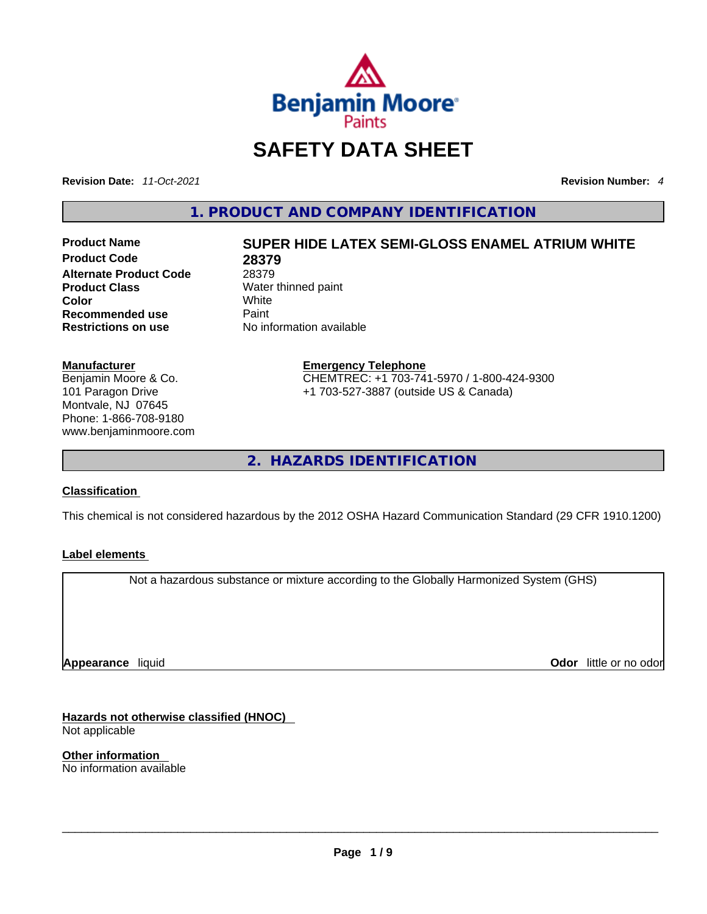

# **SAFETY DATA SHEET**

**Revision Date:** *11-Oct-2021* **Revision Number:** *4*

**1. PRODUCT AND COMPANY IDENTIFICATION** 

**Product Code 28379 Alternate Product Code** 28379<br> **Product Class** Water **Product Class Water thinned paint**<br> **Color White Color** White **Recommended use** Paint<br> **Restrictions on use** Mo information available **Restrictions** on use

# **Product Name SUPER HIDE LATEX SEMI-GLOSS ENAMEL ATRIUM WHITE**

# **Manufacturer**

Benjamin Moore & Co. 101 Paragon Drive Montvale, NJ 07645 Phone: 1-866-708-9180 www.benjaminmoore.com

### **Emergency Telephone** CHEMTREC: +1 703-741-5970 / 1-800-424-9300 +1 703-527-3887 (outside US & Canada)

**2. HAZARDS IDENTIFICATION** 

### **Classification**

This chemical is not considered hazardous by the 2012 OSHA Hazard Communication Standard (29 CFR 1910.1200)

### **Label elements**

Not a hazardous substance or mixture according to the Globally Harmonized System (GHS)

**Appearance** liquid

**Odor** little or no odor

**Hazards not otherwise classified (HNOC)**  Not applicable

**Other information**  No information available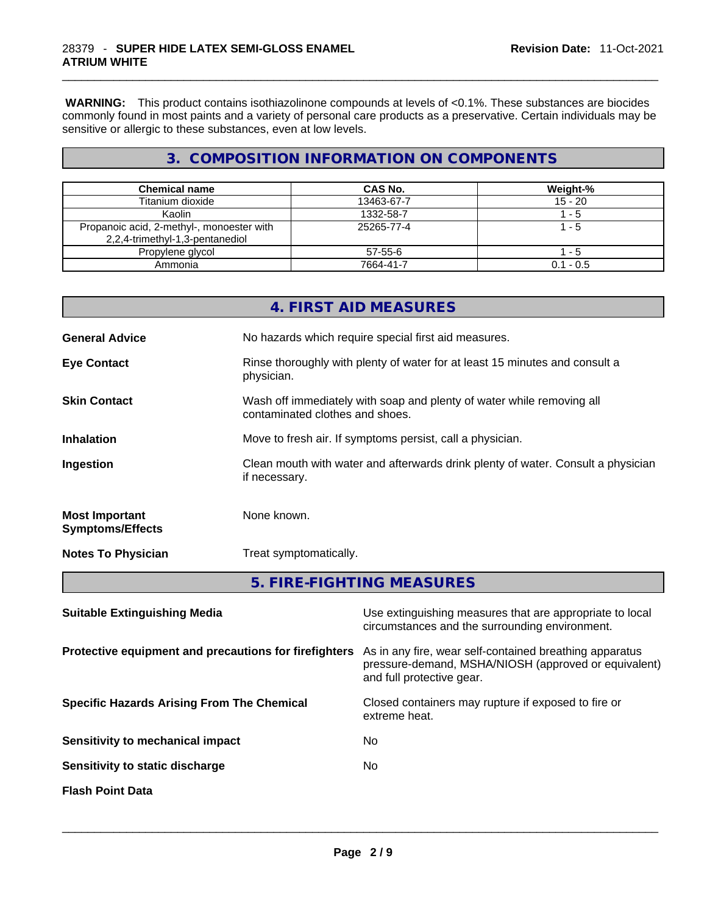**WARNING:** This product contains isothiazolinone compounds at levels of <0.1%. These substances are biocides commonly found in most paints and a variety of personal care products as a preservative. Certain individuals may be sensitive or allergic to these substances, even at low levels.

# **3. COMPOSITION INFORMATION ON COMPONENTS**

| <b>Chemical name</b>                                                         | CAS No.    | Weight-%    |
|------------------------------------------------------------------------------|------------|-------------|
| Titanium dioxide                                                             | 13463-67-7 | $15 - 20$   |
| Kaolin                                                                       | 1332-58-7  | - 5         |
| Propanoic acid, 2-methyl-, monoester with<br>2,2,4-trimethyl-1,3-pentanediol | 25265-77-4 | 1 - 5       |
| Propylene glycol                                                             | 57-55-6    | - 5         |
| Ammonia                                                                      | 7664-41-7  | $0.1 - 0.5$ |

|                                                  | 4. FIRST AID MEASURES                                                                                    |
|--------------------------------------------------|----------------------------------------------------------------------------------------------------------|
| <b>General Advice</b>                            | No hazards which require special first aid measures.                                                     |
| <b>Eye Contact</b>                               | Rinse thoroughly with plenty of water for at least 15 minutes and consult a<br>physician.                |
| <b>Skin Contact</b>                              | Wash off immediately with soap and plenty of water while removing all<br>contaminated clothes and shoes. |
| <b>Inhalation</b>                                | Move to fresh air. If symptoms persist, call a physician.                                                |
| Ingestion                                        | Clean mouth with water and afterwards drink plenty of water. Consult a physician<br>if necessary.        |
| <b>Most Important</b><br><b>Symptoms/Effects</b> | None known.                                                                                              |
| <b>Notes To Physician</b>                        | Treat symptomatically.                                                                                   |
|                                                  | 5. FIRE-FIGHTING MEASURES                                                                                |

| Use extinguishing measures that are appropriate to local<br>circumstances and the surrounding environment.                                   |
|----------------------------------------------------------------------------------------------------------------------------------------------|
| As in any fire, wear self-contained breathing apparatus<br>pressure-demand, MSHA/NIOSH (approved or equivalent)<br>and full protective gear. |
| Closed containers may rupture if exposed to fire or<br>extreme heat.                                                                         |
| No.                                                                                                                                          |
| No                                                                                                                                           |
|                                                                                                                                              |
|                                                                                                                                              |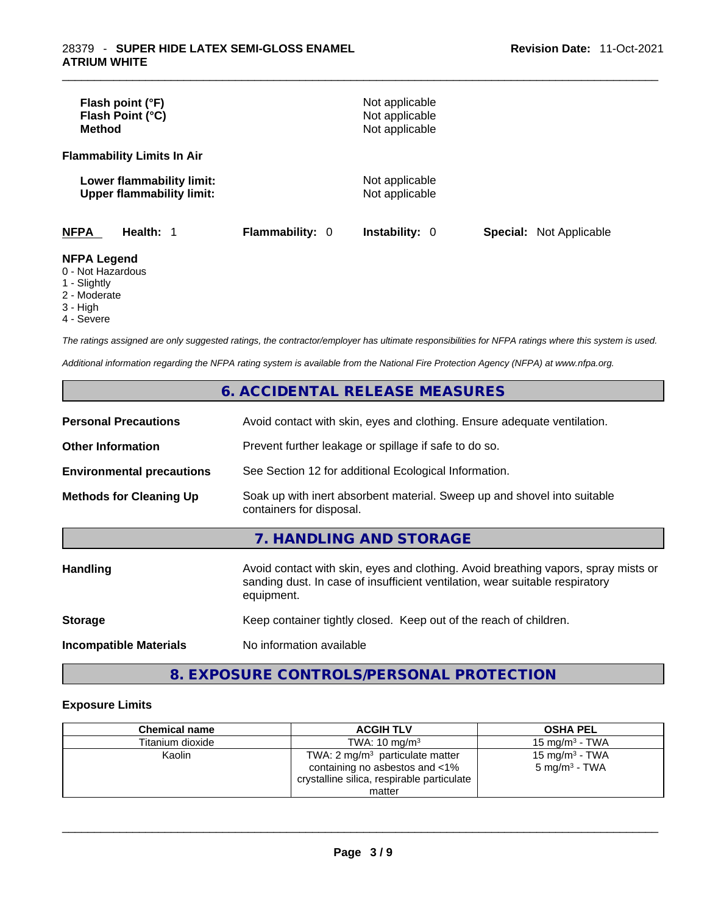| Flash point (°F)<br>Flash Point (°C)<br><b>Method</b>         |                        | Not applicable<br>Not applicable<br>Not applicable |                                |
|---------------------------------------------------------------|------------------------|----------------------------------------------------|--------------------------------|
| <b>Flammability Limits In Air</b>                             |                        |                                                    |                                |
| Lower flammability limit:<br><b>Upper flammability limit:</b> |                        | Not applicable<br>Not applicable                   |                                |
| <b>NFPA</b><br>Health: 1                                      | <b>Flammability: 0</b> | <b>Instability: 0</b>                              | <b>Special: Not Applicable</b> |
| <b>NFPA Legend</b><br>0 - Not Hazardous<br>1 - Slightly       |                        |                                                    |                                |

- 2 Moderate
- 3 High
- 4 Severe

*The ratings assigned are only suggested ratings, the contractor/employer has ultimate responsibilities for NFPA ratings where this system is used.* 

*Additional information regarding the NFPA rating system is available from the National Fire Protection Agency (NFPA) at www.nfpa.org.* 

# **6. ACCIDENTAL RELEASE MEASURES**

| <b>Personal Precautions</b>      | Avoid contact with skin, eyes and clothing. Ensure adequate ventilation.                                                                                                         |
|----------------------------------|----------------------------------------------------------------------------------------------------------------------------------------------------------------------------------|
| <b>Other Information</b>         | Prevent further leakage or spillage if safe to do so.                                                                                                                            |
| <b>Environmental precautions</b> | See Section 12 for additional Ecological Information.                                                                                                                            |
| <b>Methods for Cleaning Up</b>   | Soak up with inert absorbent material. Sweep up and shovel into suitable<br>containers for disposal.                                                                             |
|                                  | 7. HANDLING AND STORAGE                                                                                                                                                          |
| <b>Handling</b>                  | Avoid contact with skin, eyes and clothing. Avoid breathing vapors, spray mists or<br>sanding dust. In case of insufficient ventilation, wear suitable respiratory<br>equipment. |
| <b>Storage</b>                   | Keep container tightly closed. Keep out of the reach of children.                                                                                                                |
| <b>Incompatible Materials</b>    | No information available                                                                                                                                                         |

# **8. EXPOSURE CONTROLS/PERSONAL PROTECTION**

## **Exposure Limits**

| <b>Chemical name</b> | <b>ACGIH TLV</b>                                                                                                                     | <b>OSHA PEL</b>                                        |
|----------------------|--------------------------------------------------------------------------------------------------------------------------------------|--------------------------------------------------------|
| Titanium dioxide     | TWA: $10 \text{ ma/m}^3$                                                                                                             | 15 mg/m $3$ - TWA                                      |
| Kaolin               | TWA: $2 \text{ mg/m}^3$ particulate matter<br>containing no asbestos and <1%<br>crystalline silica, respirable particulate<br>matter | 15 mg/m <sup>3</sup> - TWA<br>$5 \text{ mg/m}^3$ - TWA |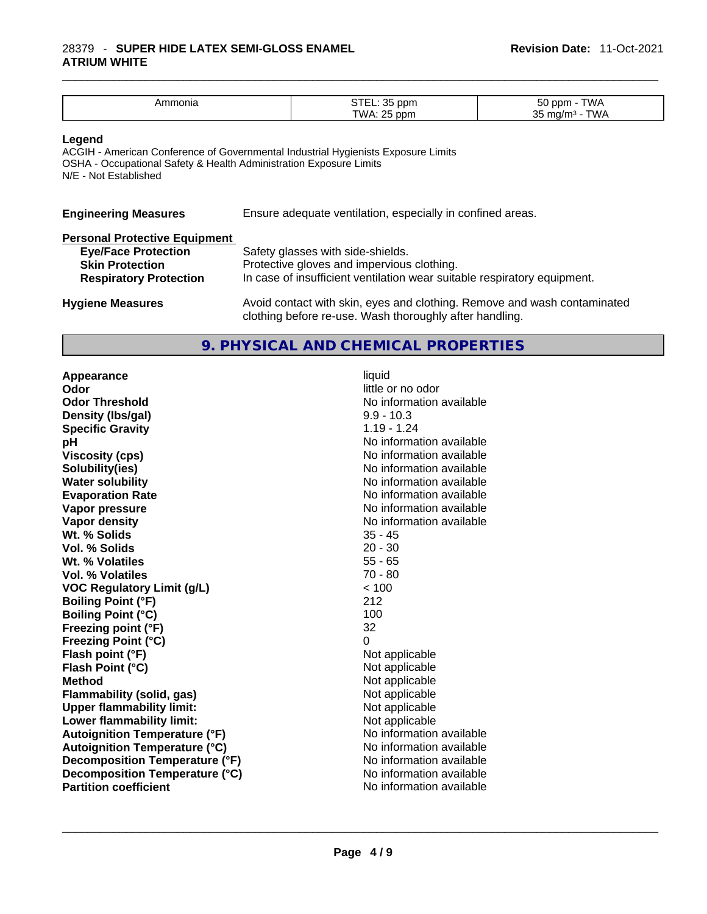### \_\_\_\_\_\_\_\_\_\_\_\_\_\_\_\_\_\_\_\_\_\_\_\_\_\_\_\_\_\_\_\_\_\_\_\_\_\_\_\_\_\_\_\_\_\_\_\_\_\_\_\_\_\_\_\_\_\_\_\_\_\_\_\_\_\_\_\_\_\_\_\_\_\_\_\_\_\_\_\_\_\_\_\_\_\_\_\_\_\_\_\_\_ 28379 - **SUPER HIDE LATEX SEMI-GLOSS ENAMEL ATRIUM WHITE**

| onic<br>лг | $\sim$ $\sim$<br>וועע | $ \sim$<br>$-1$ . |
|------------|-----------------------|-------------------|
|            | Γ\Λ/ Δ<br>nnm         | ົ                 |

### **Legend**

ACGIH - American Conference of Governmental Industrial Hygienists Exposure Limits OSHA - Occupational Safety & Health Administration Exposure Limits N/E - Not Established

| <b>Engineering Measures</b>          | Ensure adequate ventilation, especially in confined areas. |
|--------------------------------------|------------------------------------------------------------|
| <b>Dorconal Drotoctive Equipment</b> |                                                            |

| <b>Fersonal Protective Equipment</b> |                                                                          |
|--------------------------------------|--------------------------------------------------------------------------|
| <b>Eye/Face Protection</b>           | Safety glasses with side-shields.                                        |
| <b>Skin Protection</b>               | Protective gloves and impervious clothing.                               |
| <b>Respiratory Protection</b>        | In case of insufficient ventilation wear suitable respiratory equipment. |
| <b>Hygiene Measures</b>              | Avoid contact with skin, eyes and clothing. Remove and wash contaminated |
|                                      |                                                                          |

### **9. PHYSICAL AND CHEMICAL PROPERTIES**

clothing before re-use. Wash thoroughly after handling.

**Appearance** liquid **Odor** little or no odor **Odor Threshold**<br> **Density (Ibs/gal)**<br> **Density (Ibs/gal)**<br> **No information available**<br>  $9.9 - 10.3$ **Density** (Ibs/gal) **Specific Gravity** 1.19 - 1.24 **pH** No information available **Viscosity (cps) Viscosity (cps) No information available Solubility(ies)** No information available **Water solubility Water solubility No information available Evaporation Rate No information available No information available Vapor pressure No information available No information available Vapor density**<br> **We Solids**<br>
We Solids
25 - 45 **Wt. % Solids** 35 - 45<br> **Vol. % Solids** 20 - 30 **Vol. % Solids Wt. % Volatiles** 55 - 65 **Vol. % Volatiles VOC Regulatory Limit (g/L)** < 100 **Boiling Point (°F)** 212 **Boiling Point (°C) Freezing point (°F)** 32 **Freezing Point (°C)**<br> **Flash point (°F)**<br> **Flash point (°F)**<br> **Point (°F)**<br> **Point (°F)**<br> **Point (°F)**<br> **Point (°F)**<br> **Point (°F) Flash point (°F) Flash Point (°C)** Not applicable **Method**<br> **Rethod**<br> **Rethod**<br> **Not applicable**<br> **Not applicable Flammability** (solid, gas) **Upper flammability limit:** Not applicable **Lower flammability limit:**<br> **Autoignition Temperature (°F)** Not applicable havailable **Autoignition Temperature (°F) Autoignition Temperature (°C)** No information available **Decomposition Temperature (°F)** No information available<br> **Decomposition Temperature (°C)** No information available **Decomposition Temperature (°C)**<br> **Partition coefficient**<br> **Partition coefficient**<br> **No** information available **Partition coefficient**No information available \_\_\_\_\_\_\_\_\_\_\_\_\_\_\_\_\_\_\_\_\_\_\_\_\_\_\_\_\_\_\_\_\_\_\_\_\_\_\_\_\_\_\_\_\_\_\_\_\_\_\_\_\_\_\_\_\_\_\_\_\_\_\_\_\_\_\_\_\_\_\_\_\_\_\_\_\_\_\_\_\_\_\_\_\_\_\_\_\_\_\_\_\_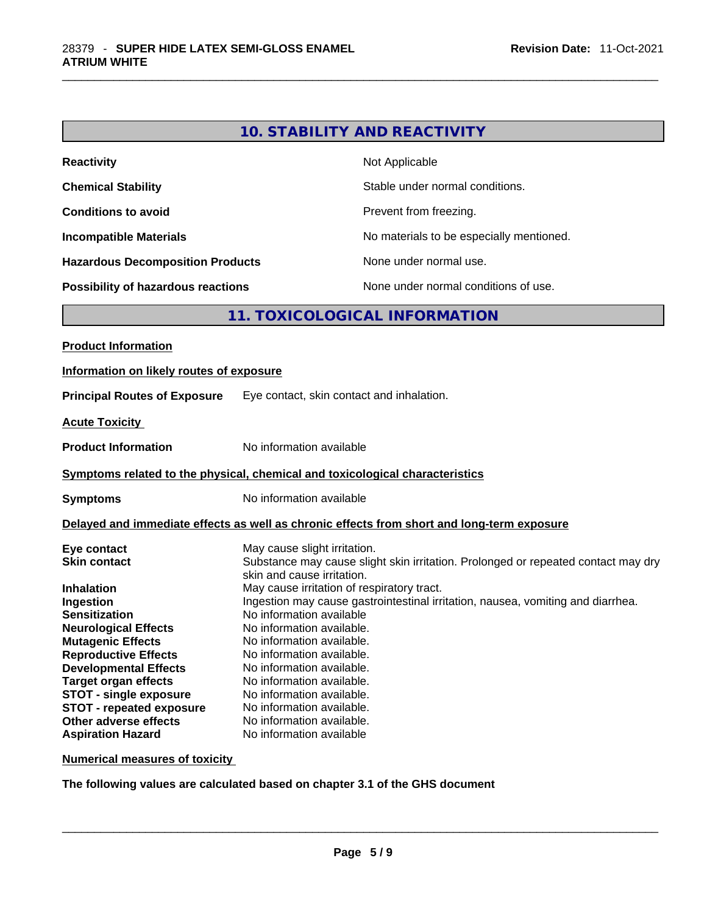| <b>Reactivity</b>                         | Not Applicable                           |
|-------------------------------------------|------------------------------------------|
| <b>Chemical Stability</b>                 | Stable under normal conditions.          |
| <b>Conditions to avoid</b>                | Prevent from freezing.                   |
| <b>Incompatible Materials</b>             | No materials to be especially mentioned. |
| <b>Hazardous Decomposition Products</b>   | None under normal use.                   |
| <b>Possibility of hazardous reactions</b> | None under normal conditions of use.     |

# **11. TOXICOLOGICAL INFORMATION**

| Information on likely routes of exposure                                                                                                                                                                                                                                                                                                                                                                                                                                                                                                                                                                                                                                                                                                                                                                                                                                                                                                                           |
|--------------------------------------------------------------------------------------------------------------------------------------------------------------------------------------------------------------------------------------------------------------------------------------------------------------------------------------------------------------------------------------------------------------------------------------------------------------------------------------------------------------------------------------------------------------------------------------------------------------------------------------------------------------------------------------------------------------------------------------------------------------------------------------------------------------------------------------------------------------------------------------------------------------------------------------------------------------------|
|                                                                                                                                                                                                                                                                                                                                                                                                                                                                                                                                                                                                                                                                                                                                                                                                                                                                                                                                                                    |
| <b>Principal Routes of Exposure</b><br>Eye contact, skin contact and inhalation.                                                                                                                                                                                                                                                                                                                                                                                                                                                                                                                                                                                                                                                                                                                                                                                                                                                                                   |
| <b>Acute Toxicity</b>                                                                                                                                                                                                                                                                                                                                                                                                                                                                                                                                                                                                                                                                                                                                                                                                                                                                                                                                              |
| No information available<br><b>Product Information</b>                                                                                                                                                                                                                                                                                                                                                                                                                                                                                                                                                                                                                                                                                                                                                                                                                                                                                                             |
| Symptoms related to the physical, chemical and toxicological characteristics                                                                                                                                                                                                                                                                                                                                                                                                                                                                                                                                                                                                                                                                                                                                                                                                                                                                                       |
| No information available<br><b>Symptoms</b>                                                                                                                                                                                                                                                                                                                                                                                                                                                                                                                                                                                                                                                                                                                                                                                                                                                                                                                        |
| Delayed and immediate effects as well as chronic effects from short and long-term exposure                                                                                                                                                                                                                                                                                                                                                                                                                                                                                                                                                                                                                                                                                                                                                                                                                                                                         |
| May cause slight irritation.<br>Eye contact<br>Substance may cause slight skin irritation. Prolonged or repeated contact may dry<br><b>Skin contact</b><br>skin and cause irritation.<br>May cause irritation of respiratory tract.<br><b>Inhalation</b><br>Ingestion may cause gastrointestinal irritation, nausea, vomiting and diarrhea.<br>Ingestion<br>No information available<br><b>Sensitization</b><br>No information available.<br><b>Neurological Effects</b><br>No information available.<br><b>Mutagenic Effects</b><br><b>Reproductive Effects</b><br>No information available.<br><b>Developmental Effects</b><br>No information available.<br>No information available.<br><b>Target organ effects</b><br><b>STOT - single exposure</b><br>No information available.<br><b>STOT - repeated exposure</b><br>No information available.<br>Other adverse effects<br>No information available.<br><b>Aspiration Hazard</b><br>No information available |

**Numerical measures of toxicity**

**The following values are calculated based on chapter 3.1 of the GHS document**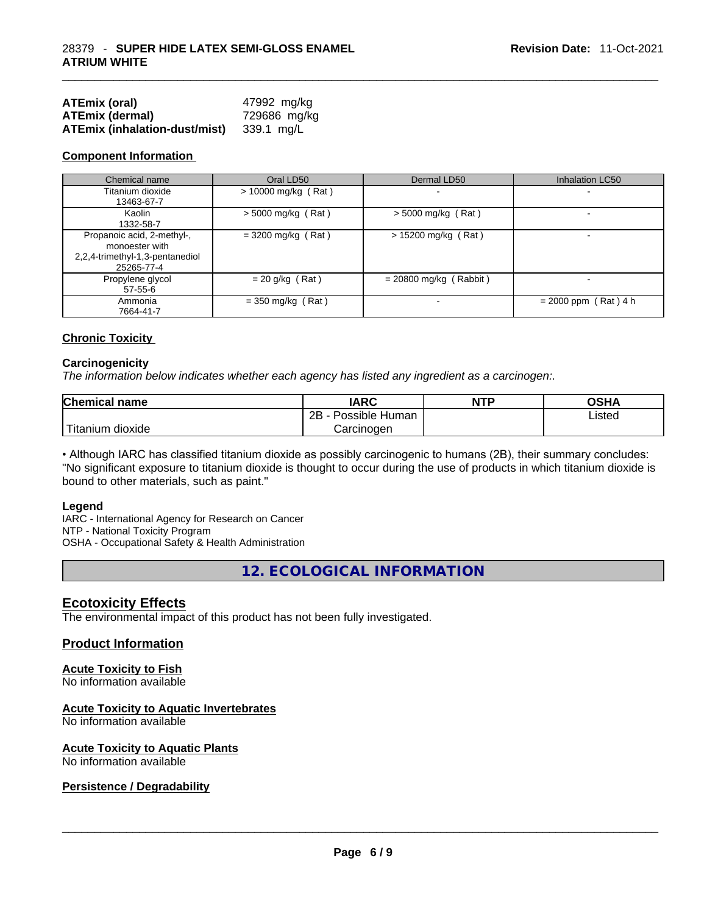| <b>ATEmix (oral)</b>                 | 47992 mg/kg  |
|--------------------------------------|--------------|
| <b>ATEmix (dermal)</b>               | 729686 mg/kg |
| <b>ATEmix (inhalation-dust/mist)</b> | 339.1 mg/L   |

### **Component Information**

| Chemical name                                                                                 | Oral LD50             | Dermal LD50              | <b>Inhalation LC50</b> |
|-----------------------------------------------------------------------------------------------|-----------------------|--------------------------|------------------------|
| Titanium dioxide<br>13463-67-7                                                                | $> 10000$ mg/kg (Rat) |                          |                        |
| Kaolin<br>1332-58-7                                                                           | $>$ 5000 mg/kg (Rat)  | $>$ 5000 mg/kg (Rat)     |                        |
| Propanoic acid, 2-methyl-,<br>monoester with<br>2,2,4-trimethyl-1,3-pentanediol<br>25265-77-4 | $=$ 3200 mg/kg (Rat)  | $> 15200$ mg/kg (Rat)    | -                      |
| Propylene glycol<br>$57 - 55 - 6$                                                             | $= 20$ g/kg (Rat)     | $= 20800$ mg/kg (Rabbit) |                        |
| Ammonia<br>7664-41-7                                                                          | $=$ 350 mg/kg (Rat)   |                          | $= 2000$ ppm (Rat) 4 h |

### **Chronic Toxicity**

### **Carcinogenicity**

*The information below indicates whether each agency has listed any ingredient as a carcinogen:.* 

| <b>Chemical name</b>  | IARC                 | <b>NTP</b> | OSHA   |
|-----------------------|----------------------|------------|--------|
|                       | 2B<br>Possible Human |            | ∟isted |
| Titanium J<br>dioxide | Carcinogen           |            |        |

• Although IARC has classified titanium dioxide as possibly carcinogenic to humans (2B), their summary concludes: "No significant exposure to titanium dioxide is thought to occur during the use of products in which titanium dioxide is bound to other materials, such as paint."

### **Legend**

IARC - International Agency for Research on Cancer NTP - National Toxicity Program OSHA - Occupational Safety & Health Administration

**12. ECOLOGICAL INFORMATION** 

### **Ecotoxicity Effects**

The environmental impact of this product has not been fully investigated.

### **Product Information**

# **Acute Toxicity to Fish**

No information available

### **Acute Toxicity to Aquatic Invertebrates**

No information available

# **Acute Toxicity to Aquatic Plants**

# No information available \_\_\_\_\_\_\_\_\_\_\_\_\_\_\_\_\_\_\_\_\_\_\_\_\_\_\_\_\_\_\_\_\_\_\_\_\_\_\_\_\_\_\_\_\_\_\_\_\_\_\_\_\_\_\_\_\_\_\_\_\_\_\_\_\_\_\_\_\_\_\_\_\_\_\_\_\_\_\_\_\_\_\_\_\_\_\_\_\_\_\_\_\_ **Persistence / Degradability**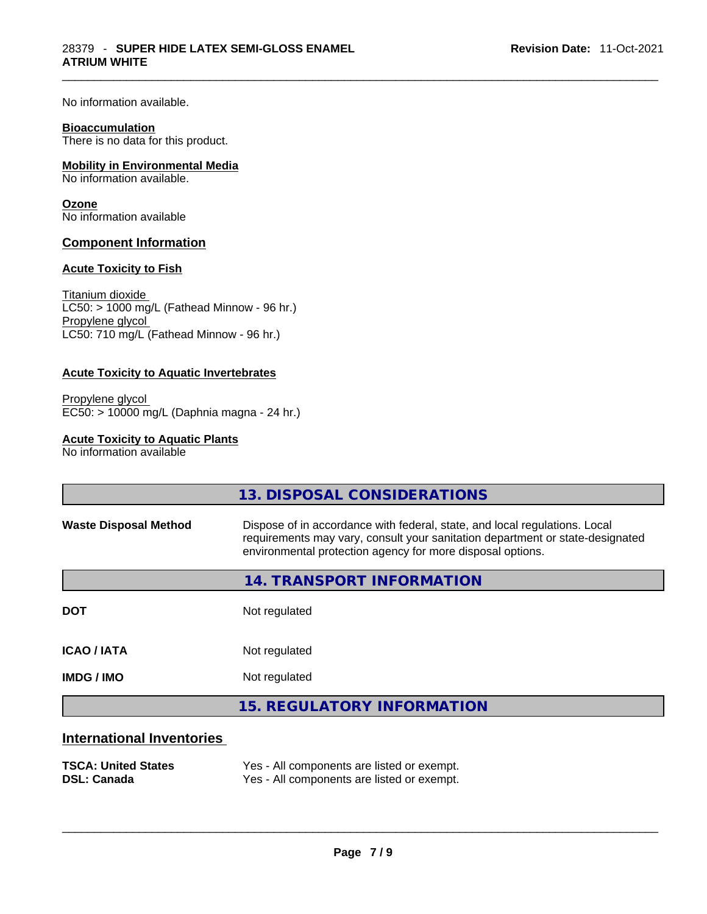No information available.

### **Bioaccumulation**

There is no data for this product.

### **Mobility in Environmental Media**

No information available.

### **Ozone**

No information available

### **Component Information**

### **Acute Toxicity to Fish**

Titanium dioxide  $LC50: > 1000$  mg/L (Fathead Minnow - 96 hr.) Propylene glycol LC50: 710 mg/L (Fathead Minnow - 96 hr.)

### **Acute Toxicity to Aquatic Invertebrates**

Propylene glycol EC50: > 10000 mg/L (Daphnia magna - 24 hr.)

### **Acute Toxicity to Aquatic Plants**

No information available

|                              | 13. DISPOSAL CONSIDERATIONS                                                                                                                                                                                               |
|------------------------------|---------------------------------------------------------------------------------------------------------------------------------------------------------------------------------------------------------------------------|
| <b>Waste Disposal Method</b> | Dispose of in accordance with federal, state, and local regulations. Local<br>requirements may vary, consult your sanitation department or state-designated<br>environmental protection agency for more disposal options. |
|                              | 14. TRANSPORT INFORMATION                                                                                                                                                                                                 |
| <b>DOT</b>                   | Not regulated                                                                                                                                                                                                             |
| <b>ICAO / IATA</b>           | Not regulated                                                                                                                                                                                                             |
| <b>IMDG / IMO</b>            | Not regulated                                                                                                                                                                                                             |
|                              | <b>15. REGULATORY INFORMATION</b>                                                                                                                                                                                         |
| Intorpotional Invontarion    |                                                                                                                                                                                                                           |

### **International Inventories**

| <b>TSCA: United States</b> | Yes - All components are listed or exempt. |
|----------------------------|--------------------------------------------|
| <b>DSL: Canada</b>         | Yes - All components are listed or exempt. |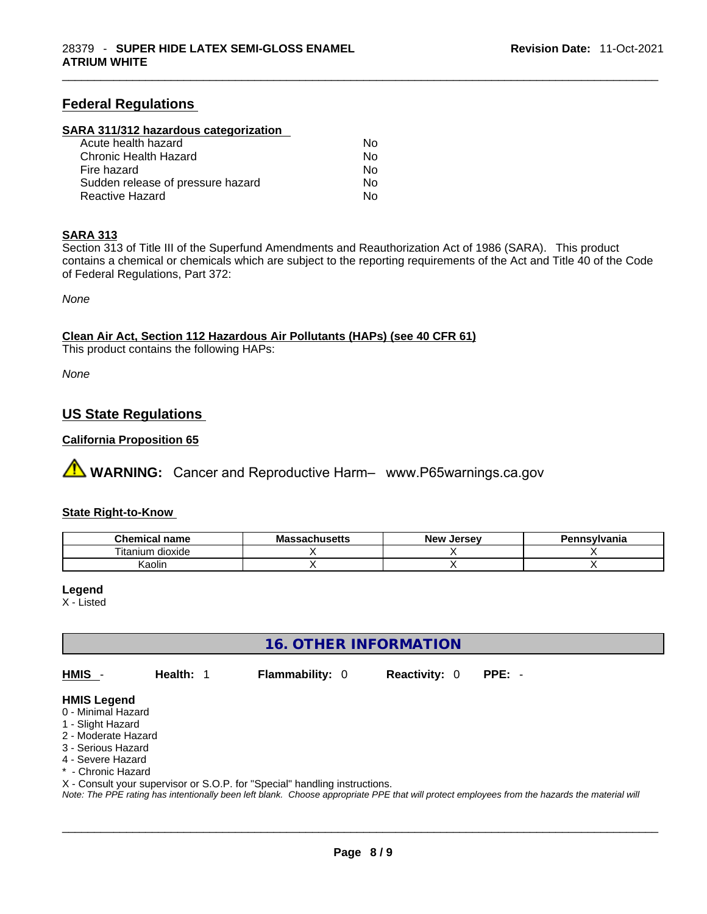## **Federal Regulations**

### **SARA 311/312 hazardous categorization**

| Acute health hazard               | No. |  |
|-----------------------------------|-----|--|
| Chronic Health Hazard             | No. |  |
| Fire hazard                       | No. |  |
| Sudden release of pressure hazard | Nο  |  |
| Reactive Hazard                   | Nο  |  |

### **SARA 313**

Section 313 of Title III of the Superfund Amendments and Reauthorization Act of 1986 (SARA). This product contains a chemical or chemicals which are subject to the reporting requirements of the Act and Title 40 of the Code of Federal Regulations, Part 372:

*None*

### **Clean Air Act,Section 112 Hazardous Air Pollutants (HAPs) (see 40 CFR 61)**

This product contains the following HAPs:

*None*

# **US State Regulations**

### **California Proposition 65**

 **WARNING:** Cancer and Reproductive Harm– www.P65warnings.ca.gov

### **State Right-to-Know**

| <b>Chemical</b><br>name            | <b>ALLICATE</b><br>ี Ma<br>isetts | . Jersev<br><b>Nev</b> | Pennsylvania |
|------------------------------------|-----------------------------------|------------------------|--------------|
| $- \cdot$ .<br>ˈɪtanıum<br>dioxide |                                   |                        |              |
| $\cdots$<br>Kaolir                 |                                   |                        |              |

### **Legend**

X - Listed

## **16. OTHER INFORMATION**

**HMIS** - **Health:** 1 **Flammability:** 0 **Reactivity:** 0 **PPE:** -

### **HMIS Legend**

- 0 Minimal Hazard
- 1 Slight Hazard
- 2 Moderate Hazard
- 3 Serious Hazard
- 4 Severe Hazard
- \* Chronic Hazard
- X Consult your supervisor or S.O.P. for "Special" handling instructions.

Note: The PPE rating has intentionally been left blank. Choose appropriate PPE that will protect employees from the hazards the material will